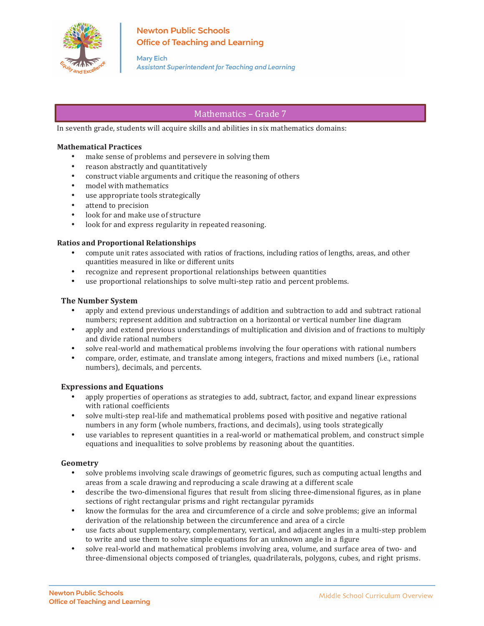

# **Newton Public Schools Office of Teaching and Learning**

**Mary Eich Assistant Superintendent for Teaching and Learning** 

## Mathematics – Grade 7

In seventh grade, students will acquire skills and abilities in six mathematics domains:

#### **Mathematical Practices**

- make sense of problems and persevere in solving them
- reason abstractly and quantitatively
- construct viable arguments and critique the reasoning of others
- model with mathematics
- use appropriate tools strategically
- attend to precision
- look for and make use of structure
- look for and express regularity in repeated reasoning.

#### **Ratios and Proportional Relationships**

- compute unit rates associated with ratios of fractions, including ratios of lengths, areas, and other quantities measured in like or different units
- recognize and represent proportional relationships between quantities
- use proportional relationships to solve multi-step ratio and percent problems.

#### **The Number System**

- apply and extend previous understandings of addition and subtraction to add and subtract rational numbers; represent addition and subtraction on a horizontal or vertical number line diagram
- apply and extend previous understandings of multiplication and division and of fractions to multiply and divide rational numbers
- solve real-world and mathematical problems involving the four operations with rational numbers
- compare, order, estimate, and translate among integers, fractions and mixed numbers (i.e., rational numbers), decimals, and percents.

## **Expressions and Equations**

- apply properties of operations as strategies to add, subtract, factor, and expand linear expressions with rational coefficients
- solve multi-step real-life and mathematical problems posed with positive and negative rational numbers in any form (whole numbers, fractions, and decimals), using tools strategically
- use variables to represent quantities in a real-world or mathematical problem, and construct simple equations and inequalities to solve problems by reasoning about the quantities.

## **Geometry**

- solve problems involving scale drawings of geometric figures, such as computing actual lengths and areas from a scale drawing and reproducing a scale drawing at a different scale
- describe the two-dimensional figures that result from slicing three-dimensional figures, as in plane sections of right rectangular prisms and right rectangular pyramids
- know the formulas for the area and circumference of a circle and solve problems; give an informal derivation of the relationship between the circumference and area of a circle
- use facts about supplementary, complementary, vertical, and adjacent angles in a multi-step problem to write and use them to solve simple equations for an unknown angle in a figure
- solve real-world and mathematical problems involving area, volume, and surface area of two- and three-dimensional objects composed of triangles, quadrilaterals, polygons, cubes, and right prisms.